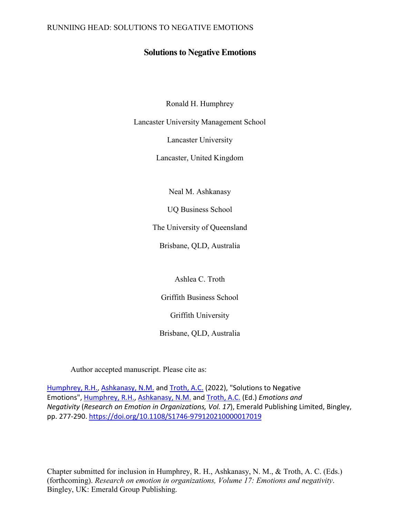### RUNNIING HEAD: SOLUTIONS TO NEGATIVE EMOTIONS

## **Solutions to Negative Emotions**

Ronald H. Humphrey

Lancaster University Management School

Lancaster University

Lancaster, United Kingdom

Neal M. Ashkanasy

UQ Business School

The University of Queensland

Brisbane, QLD, Australia

Ashlea C. Troth

Griffith Business School

Griffith University

Brisbane, QLD, Australia

Author accepted manuscript. Please cite as:

[Humphrey, R.H.,](https://www.emerald.com/insight/search?q=Ronald%20H.%20Humphrey) [Ashkanasy, N.M.](https://www.emerald.com/insight/search?q=Neal%20M.%20Ashkanasy) and [Troth, A.C.](https://www.emerald.com/insight/search?q=Ashlea%20C.%20Troth) (2022), "Solutions to Negative Emotions", [Humphrey, R.H.,](https://www.emerald.com/insight/search?q=Ronald%20H.%20Humphrey) [Ashkanasy, N.M.](https://www.emerald.com/insight/search?q=Neal%20M.%20Ashkanasy) and [Troth, A.C.](https://www.emerald.com/insight/search?q=Ashlea%20C.%20Troth) (Ed.) *Emotions and Negativity* (*Research on Emotion in Organizations, Vol. 17*), Emerald Publishing Limited, Bingley, pp. 277-290. <https://doi.org/10.1108/S1746-979120210000017019>

Chapter submitted for inclusion in Humphrey, R. H., Ashkanasy, N. M., & Troth, A. C. (Eds.) (forthcoming). *Research on emotion in organizations, Volume 17: Emotions and negativity*. Bingley, UK: Emerald Group Publishing.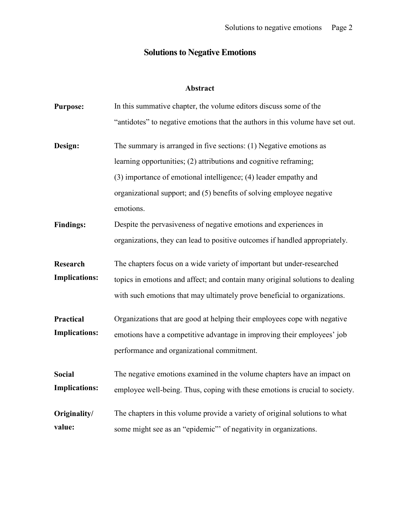#### **Solutions to Negative Emotions**

#### **Abstract**

- **Purpose:** In this summative chapter, the volume editors discuss some of the "antidotes" to negative emotions that the authors in this volume have set out.
- **Design:** The summary is arranged in five sections: (1) Negative emotions as learning opportunities; (2) attributions and cognitive reframing; (3) importance of emotional intelligence; (4) leader empathy and organizational support; and (5) benefits of solving employee negative emotions.
- **Findings:** Despite the pervasiveness of negative emotions and experiences in organizations, they can lead to positive outcomes if handled appropriately.
- **Research Implications:** The chapters focus on a wide variety of important but under-researched topics in emotions and affect; and contain many original solutions to dealing with such emotions that may ultimately prove beneficial to organizations.
- **Practical Implications:** Organizations that are good at helping their employees cope with negative emotions have a competitive advantage in improving their employees' job performance and organizational commitment.

**Social Implications:** The negative emotions examined in the volume chapters have an impact on employee well-being. Thus, coping with these emotions is crucial to society.

**Originality/ value:** The chapters in this volume provide a variety of original solutions to what some might see as an "epidemic" of negativity in organizations.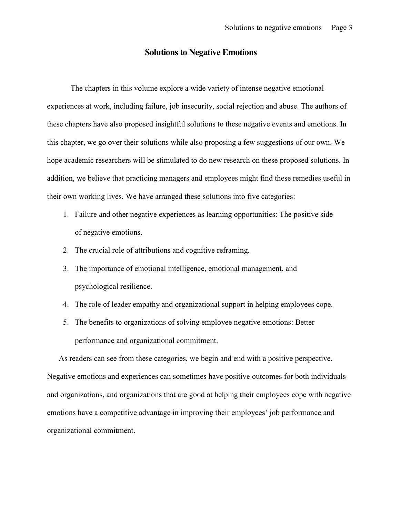## **Solutions to Negative Emotions**

The chapters in this volume explore a wide variety of intense negative emotional experiences at work, including failure, job insecurity, social rejection and abuse. The authors of these chapters have also proposed insightful solutions to these negative events and emotions. In this chapter, we go over their solutions while also proposing a few suggestions of our own. We hope academic researchers will be stimulated to do new research on these proposed solutions. In addition, we believe that practicing managers and employees might find these remedies useful in their own working lives. We have arranged these solutions into five categories:

- 1. Failure and other negative experiences as learning opportunities: The positive side of negative emotions.
- 2. The crucial role of attributions and cognitive reframing.
- 3. The importance of emotional intelligence, emotional management, and psychological resilience.
- 4. The role of leader empathy and organizational support in helping employees cope.
- 5. The benefits to organizations of solving employee negative emotions: Better performance and organizational commitment.

As readers can see from these categories, we begin and end with a positive perspective. Negative emotions and experiences can sometimes have positive outcomes for both individuals and organizations, and organizations that are good at helping their employees cope with negative emotions have a competitive advantage in improving their employees' job performance and organizational commitment.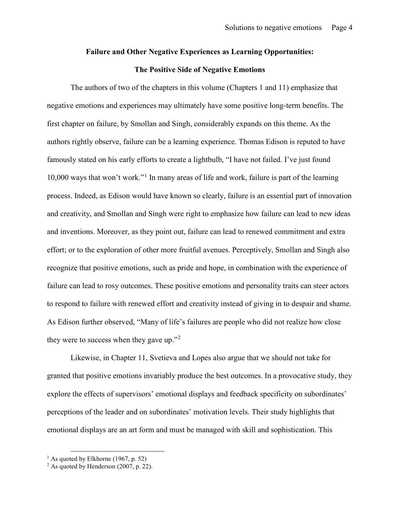#### **Failure and Other Negative Experiences as Learning Opportunities:**

#### **The Positive Side of Negative Emotions**

The authors of two of the chapters in this volume (Chapters 1 and 11) emphasize that negative emotions and experiences may ultimately have some positive long-term benefits. The first chapter on failure, by Smollan and Singh, considerably expands on this theme. As the authors rightly observe, failure can be a learning experience. Thomas Edison is reputed to have famously stated on his early efforts to create a lightbulb, "I have not failed. I've just found 10,000 ways that won't work."[1](#page-3-0) In many areas of life and work, failure is part of the learning process. Indeed, as Edison would have known so clearly, failure is an essential part of innovation and creativity, and Smollan and Singh were right to emphasize how failure can lead to new ideas and inventions. Moreover, as they point out, failure can lead to renewed commitment and extra effort; or to the exploration of other more fruitful avenues. Perceptively, Smollan and Singh also recognize that positive emotions, such as pride and hope, in combination with the experience of failure can lead to rosy outcomes. These positive emotions and personality traits can steer actors to respond to failure with renewed effort and creativity instead of giving in to despair and shame. As Edison further observed, "Many of life's failures are people who did not realize how close they were to success when they gave up."<sup>[2](#page-3-1)</sup>

Likewise, in Chapter 11, Svetieva and Lopes also argue that we should not take for granted that positive emotions invariably produce the best outcomes. In a provocative study, they explore the effects of supervisors' emotional displays and feedback specificity on subordinates' perceptions of the leader and on subordinates' motivation levels. Their study highlights that emotional displays are an art form and must be managed with skill and sophistication. This

<span id="page-3-0"></span><sup>&</sup>lt;sup>1</sup> As quoted by Elkhorne (1967, p. 52)

<span id="page-3-1"></span> $2$  As quoted by Henderson (2007, p. 22).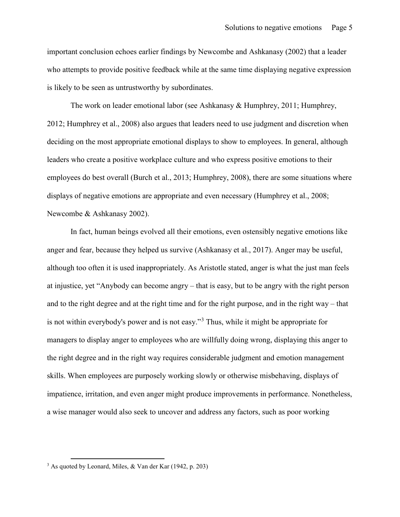important conclusion echoes earlier findings by Newcombe and Ashkanasy (2002) that a leader who attempts to provide positive feedback while at the same time displaying negative expression is likely to be seen as untrustworthy by subordinates.

The work on leader emotional labor (see Ashkanasy & Humphrey, 2011; Humphrey, 2012; Humphrey et al., 2008) also argues that leaders need to use judgment and discretion when deciding on the most appropriate emotional displays to show to employees. In general, although leaders who create a positive workplace culture and who express positive emotions to their employees do best overall (Burch et al., 2013; Humphrey, 2008), there are some situations where displays of negative emotions are appropriate and even necessary (Humphrey et al., 2008; Newcombe & Ashkanasy 2002).

In fact, human beings evolved all their emotions, even ostensibly negative emotions like anger and fear, because they helped us survive (Ashkanasy et al., 2017). Anger may be useful, although too often it is used inappropriately. As Aristotle stated, anger is what the just man feels at injustice, yet "Anybody can become angry – that is easy, but to be angry with the right person and to the right degree and at the right time and for the right purpose, and in the right way – that is not within everybody's power and is not easy."[3](#page-4-0) Thus, while it might be appropriate for managers to display anger to employees who are willfully doing wrong, displaying this anger to the right degree and in the right way requires considerable judgment and emotion management skills. When employees are purposely working slowly or otherwise misbehaving, displays of impatience, irritation, and even anger might produce improvements in performance. Nonetheless, a wise manager would also seek to uncover and address any factors, such as poor working

<span id="page-4-0"></span> <sup>3</sup> As quoted by Leonard, Miles, & Van der Kar (1942, p. 203)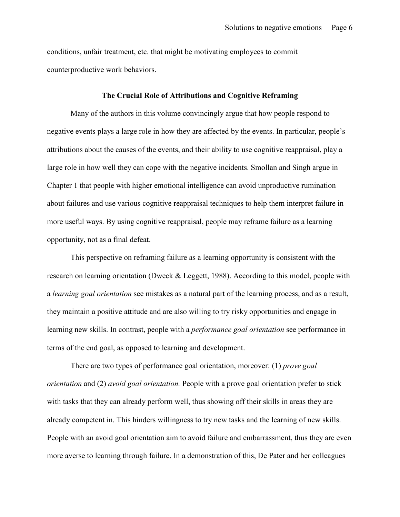conditions, unfair treatment, etc. that might be motivating employees to commit counterproductive work behaviors.

#### **The Crucial Role of Attributions and Cognitive Reframing**

Many of the authors in this volume convincingly argue that how people respond to negative events plays a large role in how they are affected by the events. In particular, people's attributions about the causes of the events, and their ability to use cognitive reappraisal, play a large role in how well they can cope with the negative incidents. Smollan and Singh argue in Chapter 1 that people with higher emotional intelligence can avoid unproductive rumination about failures and use various cognitive reappraisal techniques to help them interpret failure in more useful ways. By using cognitive reappraisal, people may reframe failure as a learning opportunity, not as a final defeat.

This perspective on reframing failure as a learning opportunity is consistent with the research on learning orientation (Dweck & Leggett, 1988). According to this model, people with a *learning goal orientation* see mistakes as a natural part of the learning process, and as a result, they maintain a positive attitude and are also willing to try risky opportunities and engage in learning new skills. In contrast, people with a *performance goal orientation* see performance in terms of the end goal, as opposed to learning and development.

There are two types of performance goal orientation, moreover: (1) *prove goal orientation* and (2) *avoid goal orientation.* People with a prove goal orientation prefer to stick with tasks that they can already perform well, thus showing off their skills in areas they are already competent in. This hinders willingness to try new tasks and the learning of new skills. People with an avoid goal orientation aim to avoid failure and embarrassment, thus they are even more averse to learning through failure. In a demonstration of this, De Pater and her colleagues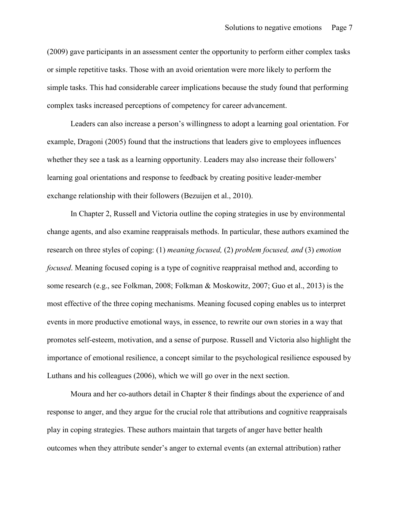(2009) gave participants in an assessment center the opportunity to perform either complex tasks or simple repetitive tasks. Those with an avoid orientation were more likely to perform the simple tasks. This had considerable career implications because the study found that performing complex tasks increased perceptions of competency for career advancement.

Leaders can also increase a person's willingness to adopt a learning goal orientation. For example, Dragoni (2005) found that the instructions that leaders give to employees influences whether they see a task as a learning opportunity. Leaders may also increase their followers' learning goal orientations and response to feedback by creating positive leader-member exchange relationship with their followers (Bezuijen et al., 2010).

In Chapter 2, Russell and Victoria outline the coping strategies in use by environmental change agents, and also examine reappraisals methods. In particular, these authors examined the research on three styles of coping: (1) *meaning focused,* (2) *problem focused, and* (3) *emotion focused*. Meaning focused coping is a type of cognitive reappraisal method and, according to some research (e.g., see Folkman, 2008; Folkman & Moskowitz, 2007; Guo et al., 2013) is the most effective of the three coping mechanisms. Meaning focused coping enables us to interpret events in more productive emotional ways, in essence, to rewrite our own stories in a way that promotes self-esteem, motivation, and a sense of purpose. Russell and Victoria also highlight the importance of emotional resilience, a concept similar to the psychological resilience espoused by Luthans and his colleagues (2006), which we will go over in the next section.

Moura and her co-authors detail in Chapter 8 their findings about the experience of and response to anger, and they argue for the crucial role that attributions and cognitive reappraisals play in coping strategies. These authors maintain that targets of anger have better health outcomes when they attribute sender's anger to external events (an external attribution) rather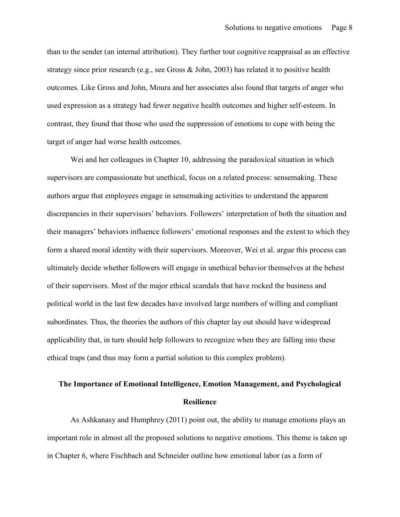than to the sender (an internal attribution). They further tout cognitive reappraisal as an effective strategy since prior research (e.g., see Gross & John, 2003) has related it to positive health outcomes. Like Gross and John, Moura and her associates also found that targets of anger who used expression as a strategy had fewer negative health outcomes and higher self-esteem. In contrast, they found that those who used the suppression of emotions to cope with being the target of anger had worse health outcomes.

Wei and her colleagues in Chapter 10, addressing the paradoxical situation in which supervisors are compassionate but unethical, focus on a related process: sensemaking. These authors argue that employees engage in sensemaking activities to understand the apparent discrepancies in their supervisors' behaviors. Followers' interpretation of both the situation and their managers' behaviors influence followers' emotional responses and the extent to which they form a shared moral identity with their supervisors. Moreover, Wei et al. argue this process can ultimately decide whether followers will engage in unethical behavior themselves at the behest of their supervisors. Most of the major ethical scandals that have rocked the business and political world in the last few decades have involved large numbers of willing and compliant subordinates. Thus, the theories the authors of this chapter lay out should have widespread applicability that, in turn should help followers to recognize when they are falling into these ethical traps (and thus may form a partial solution to this complex problem).

## **The Importance of Emotional Intelligence, Emotion Management, and Psychological Resilience**

As Ashkanasy and Humphrey (2011) point out, the ability to manage emotions plays an important role in almost all the proposed solutions to negative emotions. This theme is taken up in Chapter 6, where Fischbach and Schneider outline how emotional labor (as a form of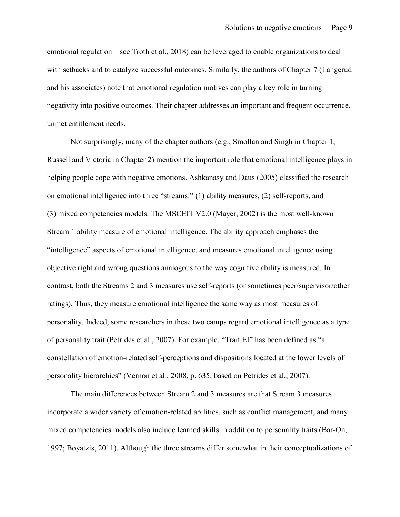emotional regulation – see Troth et al., 2018) can be leveraged to enable organizations to deal with setbacks and to catalyze successful outcomes. Similarly, the authors of Chapter 7 (Langerud and his associates) note that emotional regulation motives can play a key role in turning negativity into positive outcomes. Their chapter addresses an important and frequent occurrence, unmet entitlement needs.

Not surprisingly, many of the chapter authors (e.g., Smollan and Singh in Chapter 1, Russell and Victoria in Chapter 2) mention the important role that emotional intelligence plays in helping people cope with negative emotions. Ashkanasy and Daus (2005) classified the research on emotional intelligence into three "streams:" (1) ability measures, (2) self-reports, and (3) mixed competencies models. The MSCEIT V2.0 (Mayer, 2002) is the most well-known Stream 1 ability measure of emotional intelligence. The ability approach emphases the "intelligence" aspects of emotional intelligence, and measures emotional intelligence using objective right and wrong questions analogous to the way cognitive ability is measured. In contrast, both the Streams 2 and 3 measures use self-reports (or sometimes peer/supervisor/other ratings). Thus, they measure emotional intelligence the same way as most measures of personality. Indeed, some researchers in these two camps regard emotional intelligence as a type of personality trait (Petrides et al., 2007). For example, "Trait EI" has been defined as "a constellation of emotion-related self-perceptions and dispositions located at the lower levels of personality hierarchies" (Vernon et al., 2008, p. 635, based on Petrides et al., 2007).

The main differences between Stream 2 and 3 measures are that Stream 3 measures incorporate a wider variety of emotion-related abilities, such as conflict management, and many mixed competencies models also include learned skills in addition to personality traits (Bar-On, 1997; Boyatzis, 2011). Although the three streams differ somewhat in their conceptualizations of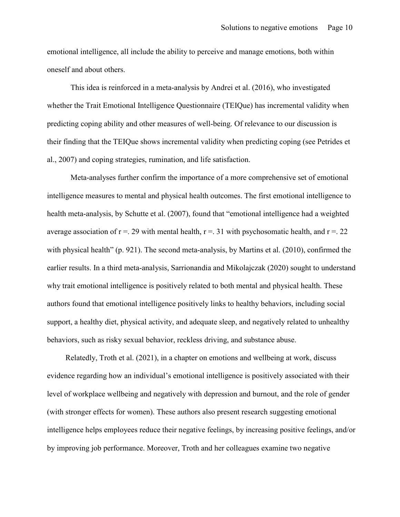emotional intelligence, all include the ability to perceive and manage emotions, both within oneself and about others.

This idea is reinforced in a meta-analysis by Andrei et al. (2016), who investigated whether the Trait Emotional Intelligence Questionnaire (TEIQue) has incremental validity when predicting coping ability and other measures of well-being. Of relevance to our discussion is their finding that the TEIQue shows incremental validity when predicting coping (see Petrides et al., 2007) and coping strategies, rumination, and life satisfaction.

Meta-analyses further confirm the importance of a more comprehensive set of emotional intelligence measures to mental and physical health outcomes. The first emotional intelligence to health meta-analysis, by Schutte et al. (2007), found that "emotional intelligence had a weighted average association of  $r = 0.29$  with mental health,  $r = 0.31$  with psychosomatic health, and  $r = 0.22$ with physical health" (p. 921). The second meta-analysis, by Martins et al. (2010), confirmed the earlier results. In a third meta-analysis, Sarrionandia and Mikolajczak (2020) sought to understand why trait emotional intelligence is positively related to both mental and physical health. These authors found that emotional intelligence positively links to healthy behaviors, including social support, a healthy diet, physical activity, and adequate sleep, and negatively related to unhealthy behaviors, such as risky sexual behavior, reckless driving, and substance abuse.

Relatedly, Troth et al. (2021), in a chapter on emotions and wellbeing at work, discuss evidence regarding how an individual's emotional intelligence is positively associated with their level of workplace wellbeing and negatively with depression and burnout, and the role of gender (with stronger effects for women). These authors also present research suggesting emotional intelligence helps employees reduce their negative feelings, by increasing positive feelings, and/or by improving job performance. Moreover, Troth and her colleagues examine two negative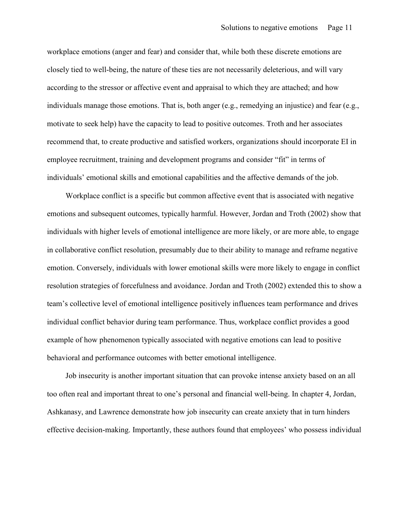workplace emotions (anger and fear) and consider that, while both these discrete emotions are closely tied to well-being, the nature of these ties are not necessarily deleterious, and will vary according to the stressor or affective event and appraisal to which they are attached; and how individuals manage those emotions. That is, both anger (e.g., remedying an injustice) and fear (e.g., motivate to seek help) have the capacity to lead to positive outcomes. Troth and her associates recommend that, to create productive and satisfied workers, organizations should incorporate EI in employee recruitment, training and development programs and consider "fit" in terms of individuals' emotional skills and emotional capabilities and the affective demands of the job.

Workplace conflict is a specific but common affective event that is associated with negative emotions and subsequent outcomes, typically harmful. However, Jordan and Troth (2002) show that individuals with higher levels of emotional intelligence are more likely, or are more able, to engage in collaborative conflict resolution, presumably due to their ability to manage and reframe negative emotion. Conversely, individuals with lower emotional skills were more likely to engage in conflict resolution strategies of forcefulness and avoidance. Jordan and Troth (2002) extended this to show a team's collective level of emotional intelligence positively influences team performance and drives individual conflict behavior during team performance. Thus, workplace conflict provides a good example of how phenomenon typically associated with negative emotions can lead to positive behavioral and performance outcomes with better emotional intelligence.

Job insecurity is another important situation that can provoke intense anxiety based on an all too often real and important threat to one's personal and financial well-being. In chapter 4, Jordan, Ashkanasy, and Lawrence demonstrate how job insecurity can create anxiety that in turn hinders effective decision-making. Importantly, these authors found that employees' who possess individual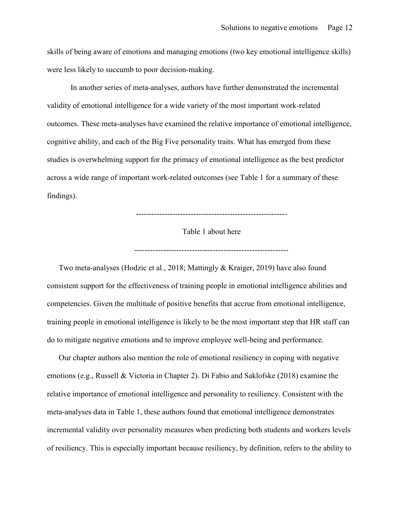skills of being aware of emotions and managing emotions (two key emotional intelligence skills) were less likely to succumb to poor decision-making.

In another series of meta-analyses, authors have further demonstrated the incremental validity of emotional intelligence for a wide variety of the most important work-related outcomes. These meta-analyses have examined the relative importance of emotional intelligence, cognitive ability, and each of the Big Five personality traits. What has emerged from these studies is overwhelming support for the primacy of emotional intelligence as the best predictor across a wide range of important work-related outcomes (see Table 1 for a summary of these findings).

----------------------------------------------------------

Table 1 about here

-----------------------------------------------------------

Two meta-analyses (Hodzic et al., 2018; Mattingly & Kraiger, 2019) have also found consistent support for the effectiveness of training people in emotional intelligence abilities and competencies. Given the multitude of positive benefits that accrue from emotional intelligence, training people in emotional intelligence is likely to be the most important step that HR staff can do to mitigate negative emotions and to improve employee well-being and performance.

Our chapter authors also mention the role of emotional resiliency in coping with negative emotions (e.g., Russell & Victoria in Chapter 2). Di Fabio and Saklofske (2018) examine the relative importance of emotional intelligence and personality to resiliency. Consistent with the meta-analyses data in Table 1, these authors found that emotional intelligence demonstrates incremental validity over personality measures when predicting both students and workers levels of resiliency. This is especially important because resiliency, by definition, refers to the ability to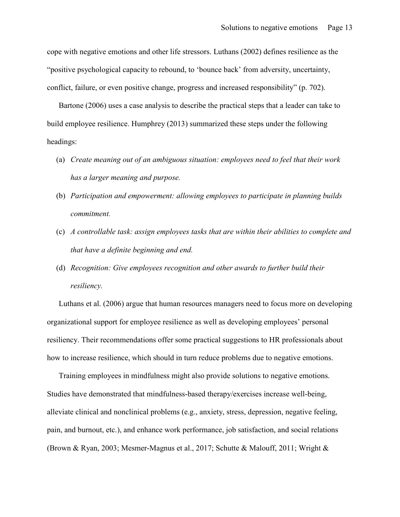cope with negative emotions and other life stressors. Luthans (2002) defines resilience as the "positive psychological capacity to rebound, to 'bounce back' from adversity, uncertainty, conflict, failure, or even positive change, progress and increased responsibility" (p. 702).

Bartone (2006) uses a case analysis to describe the practical steps that a leader can take to build employee resilience. Humphrey (2013) summarized these steps under the following headings:

- (a) *Create meaning out of an ambiguous situation: employees need to feel that their work has a larger meaning and purpose.*
- (b) *Participation and empowerment: allowing employees to participate in planning builds commitment.*
- (c) *A controllable task: assign employees tasks that are within their abilities to complete and that have a definite beginning and end.*
- (d) *Recognition: Give employees recognition and other awards to further build their resiliency.*

Luthans et al. (2006) argue that human resources managers need to focus more on developing organizational support for employee resilience as well as developing employees' personal resiliency. Their recommendations offer some practical suggestions to HR professionals about how to increase resilience, which should in turn reduce problems due to negative emotions.

Training employees in mindfulness might also provide solutions to negative emotions. Studies have demonstrated that mindfulness-based therapy/exercises increase well-being, alleviate clinical and nonclinical problems (e.g., anxiety, stress, depression, negative feeling, pain, and burnout, etc.), and enhance work performance, job satisfaction, and social relations (Brown & Ryan, 2003; Mesmer-Magnus et al., 2017; Schutte & Malouff, 2011; Wright &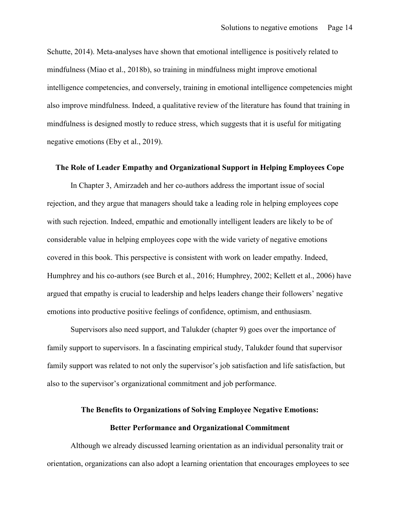Schutte, 2014). Meta-analyses have shown that emotional intelligence is positively related to mindfulness (Miao et al., 2018b), so training in mindfulness might improve emotional intelligence competencies, and conversely, training in emotional intelligence competencies might also improve mindfulness. Indeed, a qualitative review of the literature has found that training in mindfulness is designed mostly to reduce stress, which suggests that it is useful for mitigating negative emotions (Eby et al., 2019).

#### **The Role of Leader Empathy and Organizational Support in Helping Employees Cope**

In Chapter 3, Amirzadeh and her co-authors address the important issue of social rejection, and they argue that managers should take a leading role in helping employees cope with such rejection. Indeed, empathic and emotionally intelligent leaders are likely to be of considerable value in helping employees cope with the wide variety of negative emotions covered in this book. This perspective is consistent with work on leader empathy. Indeed, Humphrey and his co-authors (see Burch et al., 2016; Humphrey, 2002; Kellett et al., 2006) have argued that empathy is crucial to leadership and helps leaders change their followers' negative emotions into productive positive feelings of confidence, optimism, and enthusiasm.

Supervisors also need support, and Talukder (chapter 9) goes over the importance of family support to supervisors. In a fascinating empirical study, Talukder found that supervisor family support was related to not only the supervisor's job satisfaction and life satisfaction, but also to the supervisor's organizational commitment and job performance.

# **The Benefits to Organizations of Solving Employee Negative Emotions: Better Performance and Organizational Commitment**

Although we already discussed learning orientation as an individual personality trait or orientation, organizations can also adopt a learning orientation that encourages employees to see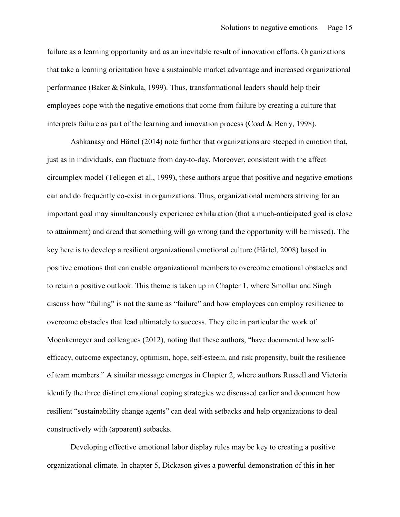failure as a learning opportunity and as an inevitable result of innovation efforts. Organizations that take a learning orientation have a sustainable market advantage and increased organizational performance (Baker & Sinkula, 1999). Thus, transformational leaders should help their employees cope with the negative emotions that come from failure by creating a culture that interprets failure as part of the learning and innovation process (Coad & Berry, 1998).

Ashkanasy and Härtel (2014) note further that organizations are steeped in emotion that, just as in individuals, can fluctuate from day-to-day. Moreover, consistent with the affect circumplex model (Tellegen et al., 1999), these authors argue that positive and negative emotions can and do frequently co-exist in organizations. Thus, organizational members striving for an important goal may simultaneously experience exhilaration (that a much-anticipated goal is close to attainment) and dread that something will go wrong (and the opportunity will be missed). The key here is to develop a resilient organizational emotional culture (Härtel, 2008) based in positive emotions that can enable organizational members to overcome emotional obstacles and to retain a positive outlook. This theme is taken up in Chapter 1, where Smollan and Singh discuss how "failing" is not the same as "failure" and how employees can employ resilience to overcome obstacles that lead ultimately to success. They cite in particular the work of Moenkemeyer and colleagues (2012), noting that these authors, "have documented how selfefficacy, outcome expectancy, optimism, hope, self-esteem, and risk propensity, built the resilience of team members." A similar message emerges in Chapter 2, where authors Russell and Victoria identify the three distinct emotional coping strategies we discussed earlier and document how resilient "sustainability change agents" can deal with setbacks and help organizations to deal constructively with (apparent) setbacks.

Developing effective emotional labor display rules may be key to creating a positive organizational climate. In chapter 5, Dickason gives a powerful demonstration of this in her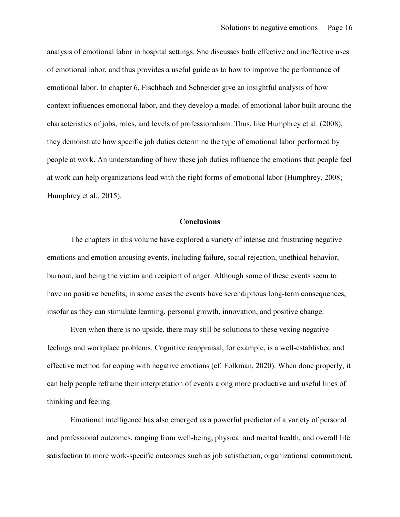analysis of emotional labor in hospital settings. She discusses both effective and ineffective uses of emotional labor, and thus provides a useful guide as to how to improve the performance of emotional labor. In chapter 6, Fischbach and Schneider give an insightful analysis of how context influences emotional labor, and they develop a model of emotional labor built around the characteristics of jobs, roles, and levels of professionalism. Thus, like Humphrey et al. (2008), they demonstrate how specific job duties determine the type of emotional labor performed by people at work. An understanding of how these job duties influence the emotions that people feel at work can help organizations lead with the right forms of emotional labor (Humphrey, 2008; Humphrey et al., 2015).

#### **Conclusions**

The chapters in this volume have explored a variety of intense and frustrating negative emotions and emotion arousing events, including failure, social rejection, unethical behavior, burnout, and being the victim and recipient of anger. Although some of these events seem to have no positive benefits, in some cases the events have serendipitous long-term consequences, insofar as they can stimulate learning, personal growth, innovation, and positive change.

Even when there is no upside, there may still be solutions to these vexing negative feelings and workplace problems. Cognitive reappraisal, for example, is a well-established and effective method for coping with negative emotions (cf. Folkman, 2020). When done properly, it can help people reframe their interpretation of events along more productive and useful lines of thinking and feeling.

Emotional intelligence has also emerged as a powerful predictor of a variety of personal and professional outcomes, ranging from well-being, physical and mental health, and overall life satisfaction to more work-specific outcomes such as job satisfaction, organizational commitment,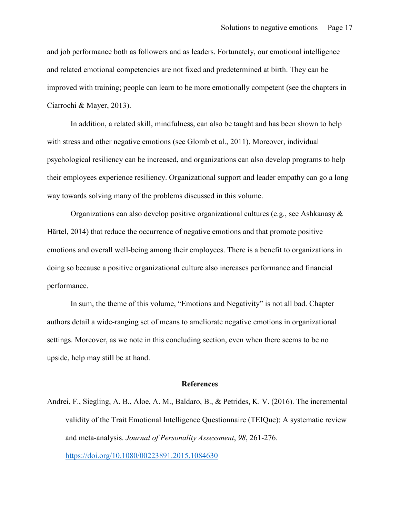and job performance both as followers and as leaders. Fortunately, our emotional intelligence and related emotional competencies are not fixed and predetermined at birth. They can be improved with training; people can learn to be more emotionally competent (see the chapters in Ciarrochi & Mayer, 2013).

In addition, a related skill, mindfulness, can also be taught and has been shown to help with stress and other negative emotions (see Glomb et al., 2011). Moreover, individual psychological resiliency can be increased, and organizations can also develop programs to help their employees experience resiliency. Organizational support and leader empathy can go a long way towards solving many of the problems discussed in this volume.

Organizations can also develop positive organizational cultures (e.g., see Ashkanasy  $\&$ Härtel, 2014) that reduce the occurrence of negative emotions and that promote positive emotions and overall well-being among their employees. There is a benefit to organizations in doing so because a positive organizational culture also increases performance and financial performance.

In sum, the theme of this volume, "Emotions and Negativity" is not all bad. Chapter authors detail a wide-ranging set of means to ameliorate negative emotions in organizational settings. Moreover, as we note in this concluding section, even when there seems to be no upside, help may still be at hand.

#### **References**

Andrei, F., Siegling, A. B., Aloe, A. M., Baldaro, B., & Petrides, K. V. (2016). The incremental validity of the Trait Emotional Intelligence Questionnaire (TEIQue): A systematic review and meta-analysis. *Journal of Personality Assessment*, *98*, 261-276. <https://doi.org/10.1080/00223891.2015.1084630>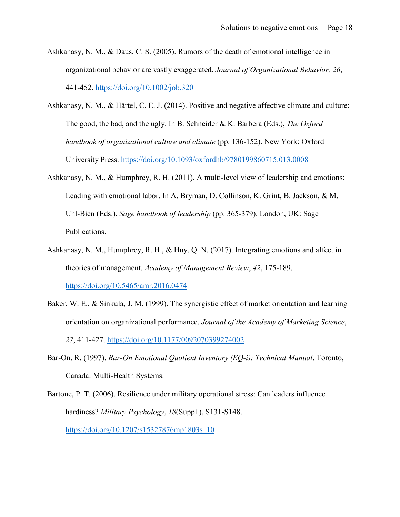- Ashkanasy, N. M., & Daus, C. S. (2005). Rumors of the death of emotional intelligence in organizational behavior are vastly exaggerated. *Journal of Organizational Behavior, 26*, 441-452.<https://doi.org/10.1002/job.320>
- Ashkanasy, N. M., & Härtel, C. E. J. (2014). Positive and negative affective climate and culture: The good, the bad, and the ugly. In B. Schneider & K. Barbera (Eds.), *The Oxford handbook of organizational culture and climate* (pp. 136-152). New York: Oxford University Press.<https://doi.org/10.1093/oxfordhb/9780199860715.013.0008>
- Ashkanasy, N. M., & Humphrey, R. H. (2011). A multi-level view of leadership and emotions: Leading with emotional labor. In A. Bryman, D. Collinson, K. Grint, B. Jackson, & M. Uhl-Bien (Eds.), *Sage handbook of leadership* (pp. 365-379). London, UK: Sage Publications.
- Ashkanasy, N. M., Humphrey, R. H., & Huy, Q. N. (2017). Integrating emotions and affect in theories of management. *Academy of Management Review*, *42*, 175-189. <https://doi.org/10.5465/amr.2016.0474>
- Baker, W. E., & Sinkula, J. M. (1999). The synergistic effect of market orientation and learning orientation on organizational performance. *Journal of the Academy of Marketing Science*, *27*, 411-427.<https://doi.org/10.1177/0092070399274002>
- Bar-On, R. (1997). *Bar-On Emotional Quotient Inventory (EQ-i): Technical Manual*. Toronto, Canada: Multi-Health Systems.
- Bartone, P. T. (2006). Resilience under military operational stress: Can leaders influence hardiness? *Military Psychology*, *18*(Suppl.), S131-S148. [https://doi.org/10.1207/s15327876mp1803s\\_10](https://doi.org/10.1207/s15327876mp1803s_10)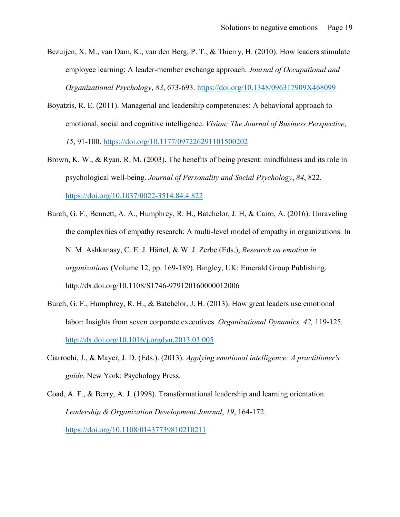- Bezuijen, X. M., van Dam, K., van den Berg, P. T., & Thierry, H. (2010). How leaders stimulate employee learning: A leader-member exchange approach. *Journal of Occupational and Organizational Psychology*, *83*, 673-693.<https://doi.org/10.1348/096317909X468099>
- Boyatzis, R. E. (2011). Managerial and leadership competencies: A behavioral approach to emotional, social and cognitive intelligence. *Vision: The Journal of Business Perspective*, *15*, 91-100.<https://doi.org/10.1177/097226291101500202>
- Brown, K. W., & Ryan, R. M. (2003). The benefits of being present: mindfulness and its role in psychological well-being. *Journal of Personality and Social Psychology*, *84*, 822. <https://doi.org/10.1037/0022-3514.84.4.822>
- Burch, G. F., Bennett, A. A., Humphrey, R. H., Batchelor, J. H, & Cairo, A. (2016). Unraveling the complexities of empathy research: A multi-level model of empathy in organizations. In N. M. Ashkanasy, C. E. J. Härtel, & W. J. Zerbe (Eds.), *Research on emotion in organizations* (Volume 12, pp. 169-189). Bingley, UK: Emerald Group Publishing. http://dx.doi.org/10.1108/S1746-979120160000012006
- Burch, G. F., Humphrey, R. H., & Batchelor, J. H. (2013). How great leaders use emotional labor: Insights from seven corporate executives. *Organizational Dynamics, 42,* 119-125*.* <http://dx.doi.org/10.1016/j.orgdyn.2013.03.005>
- Ciarrochi, J., & Mayer, J. D. (Eds.). (2013). *Applying emotional intelligence: A practitioner's guide*. New York: Psychology Press.
- Coad, A. F., & Berry, A. J. (1998). Transformational leadership and learning orientation. *Leadership & Organization Development Journal*, *19*, 164-172. <https://doi.org/10.1108/01437739810210211>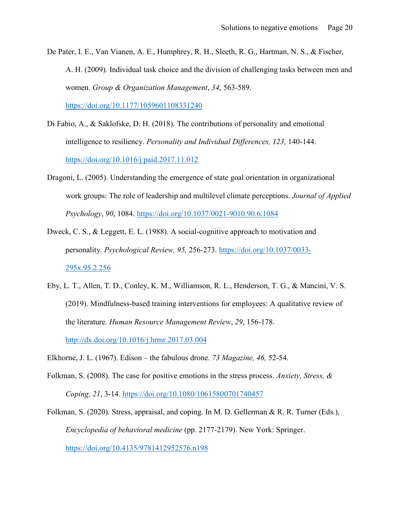De Pater, I. E., Van Vianen, A. E., Humphrey, R. H., Sleeth, R. G., Hartman, N. S., & Fischer, A. H. (2009). Individual task choice and the division of challenging tasks between men and women. *Group & Organization Management*, *34*, 563-589.

[https://doi.org/10.1177/1059601108331240](https://doi.org/10.1177%2F1059601108331240)

- Di Fabio, A., & Saklofske, D. H. (2018). The contributions of personality and emotional intelligence to resiliency. *Personality and Individual Differences, 123,* 140-144. <https://doi.org/10.1016/j.paid.2017.11.012>
- Dragoni, L. (2005). Understanding the emergence of state goal orientation in organizational work groups: The role of leadership and multilevel climate perceptions. *Journal of Applied Psychology*, *90*, 1084.<https://doi.org/10.1037/0021-9010.90.6.1084>
- Dweck, C. S., & Leggett, E. L. (1988). A social-cognitive approach to motivation and personality. *Psychological Review, 95,* 256-273. [https://doi.org/10.1037/0033-](https://doi.org/10.1037/0033-295x.95.2.256) [295x.95.2.256](https://doi.org/10.1037/0033-295x.95.2.256)
- Eby, L. T., Allen, T. D., Conley, K. M., Williamson, R. L., Henderson, T. G., & Mancini, V. S. (2019). Mindfulness-based training interventions for employees: A qualitative review of the literature. *Human Resource Management Review*, *29*, 156-178. <http://dx.doi.org/10.1016/j.hrmr.2017.03.004>
- Elkhorne, J. L. (1967). Edison the fabulous drone. *73 Magazine, 46,* 52-54.
- Folkman, S. (2008). The case for positive emotions in the stress process. *Anxiety, Stress, & Coping, 21*, 3-14.<https://doi.org/10.1080/10615800701740457>
- Folkman, S. (2020). Stress, appraisal, and coping. In M. D. Gellerman & R. R. Turner (Eds.), *Encyclopedia of behavioral medicine* (pp. 2177-2179). New York: Springer. <https://doi.org/10.4135/9781412952576.n198>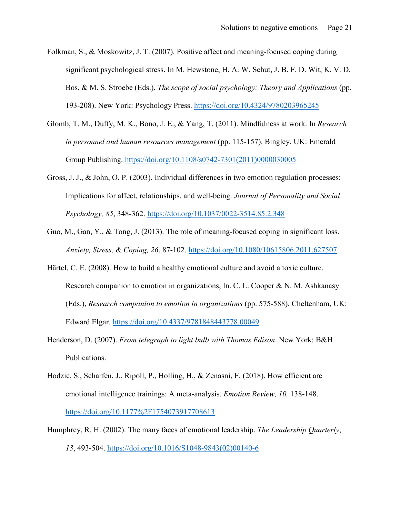- Folkman, S., & Moskowitz, J. T. (2007). Positive affect and meaning-focused coping during significant psychological stress. In M. Hewstone, H. A. W. Schut, J. B. F. D. Wit, K. V. D. Bos, & M. S. Stroebe (Eds.), *The scope of social psychology: Theory and Applications* (pp. 193-208). New York: Psychology Press.<https://doi.org/10.4324/9780203965245>
- Glomb, T. M., Duffy, M. K., Bono, J. E., & Yang, T. (2011). Mindfulness at work. In *Research in personnel and human resources management* (pp. 115-157). Bingley, UK: Emerald Group Publishing. [https://doi.org/10.1108/s0742-7301\(2011\)0000030005](https://doi.org/10.1108/s0742-7301(2011)0000030005)
- Gross, J. J., & John, O. P. (2003). Individual differences in two emotion regulation processes: Implications for affect, relationships, and well-being. *Journal of Personality and Social Psychology, 85*, 348-362. [https://doi.org/10.1037/0022-3514.85.2.348](https://psycnet.apa.org/doi/10.1037/0022-3514.85.2.348)
- Guo, M., Gan, Y., & Tong, J. (2013). The role of meaning-focused coping in significant loss. *Anxiety, Stress, & Coping, 26*, 87-102.<https://doi.org/10.1080/10615806.2011.627507>
- Härtel, C. E. (2008). How to build a healthy emotional culture and avoid a toxic culture. Research companion to emotion in organizations, In. C. L. Cooper & N. M. Ashkanasy (Eds.), *Research companion to emotion in organizations* (pp. 575-588). Cheltenham, UK: Edward Elgar.<https://doi.org/10.4337/9781848443778.00049>
- Henderson, D. (2007). *From telegraph to light bulb with Thomas Edison*. New York: B&H Publications.
- Hodzic, S., Scharfen, J., Ripoll, P., Holling, H., & Zenasni, F. (2018). How efficient are emotional intelligence trainings: A meta-analysis. *Emotion Review, 10,* 138-148. <https://doi.org/10.1177%2F1754073917708613>
- Humphrey, R. H. (2002). The many faces of emotional leadership. *The Leadership Quarterly*, *13*, 493-504. [https://doi.org/10.1016/S1048-9843\(02\)00140-6](https://doi.org/10.1016/S1048-9843(02)00140-6)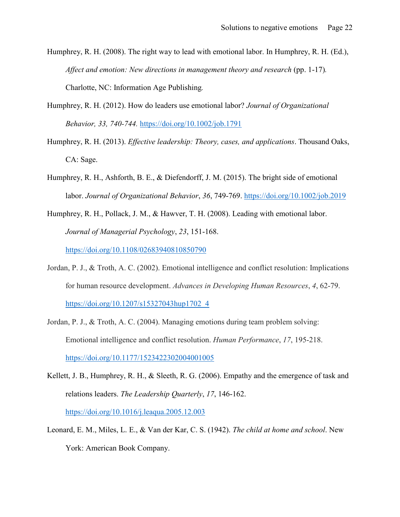- Humphrey, R. H. (2008). The right way to lead with emotional labor. In Humphrey, R. H. (Ed.), *Affect and emotion: New directions in management theory and research (pp. 1-17).* Charlotte, NC: Information Age Publishing*.*
- Humphrey, R. H. (2012). How do leaders use emotional labor? *Journal of Organizational Behavior, 33, 740-744.* <https://doi.org/10.1002/job.1791>
- Humphrey, R. H. (2013). *Effective leadership: Theory, cases, and applications*. Thousand Oaks, CA: Sage.
- Humphrey, R. H., Ashforth, B. E., & Diefendorff, J. M. (2015). The bright side of emotional labor. *Journal of Organizational Behavior*, *36*, 749-769.<https://doi.org/10.1002/job.2019>
- Humphrey, R. H., Pollack, J. M., & Hawver, T. H. (2008). Leading with emotional labor. *Journal of Managerial Psychology*, *23*, 151-168. <https://doi.org/10.1108/02683940810850790>
- Jordan, P. J., & Troth, A. C. (2002). Emotional intelligence and conflict resolution: Implications for human resource development. *Advances in Developing Human Resources*, *4*, 62-79. [https://doi.org/10.1207/s15327043hup1702\\_4](https://doi.org/10.1207/s15327043hup1702_4)
- Jordan, P. J., & Troth, A. C. (2004). Managing emotions during team problem solving: Emotional intelligence and conflict resolution. *Human Performance*, *17*, 195-218. <https://doi.org/10.1177/1523422302004001005>
- Kellett, J. B., Humphrey, R. H., & Sleeth, R. G. (2006). Empathy and the emergence of task and relations leaders. *The Leadership Quarterly*, *17*, 146-162. <https://doi.org/10.1016/j.leaqua.2005.12.003>
- Leonard, E. M., Miles, L. E., & Van der Kar, C. S. (1942). *The child at home and school*. New York: American Book Company.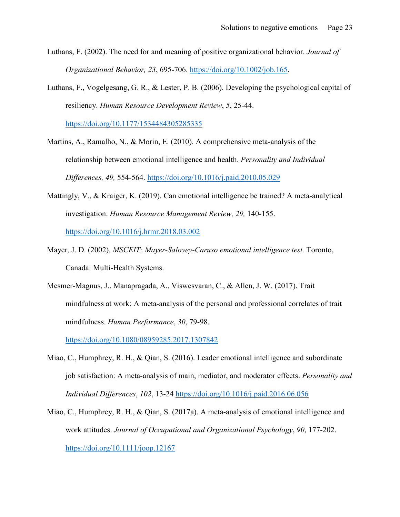- Luthans, F. (2002). The need for and meaning of positive organizational behavior. *Journal of Organizational Behavior, 23*, 695-706. [https://doi.org/10.1002/job.165.](https://doi.org/10.1002/job.165)
- Luthans, F., Vogelgesang, G. R., & Lester, P. B. (2006). Developing the psychological capital of resiliency. *Human Resource Development Review*, *5*, 25-44.

[https://doi.org/10.1177/1534484305285335](https://doi.org/10.1177%2F1534484305285335)

- Martins, A., Ramalho, N., & Morin, E. (2010). A comprehensive meta-analysis of the relationship between emotional intelligence and health. *Personality and Individual Differences, 49,* 554-564.<https://doi.org/10.1016/j.paid.2010.05.029>
- Mattingly, V., & Kraiger, K. (2019). Can emotional intelligence be trained? A meta-analytical investigation. *Human Resource Management Review, 29,* 140-155. <https://doi.org/10.1016/j.hrmr.2018.03.002>
- Mayer, J. D. (2002). *MSCEIT: Mayer-Salovey-Caruso emotional intelligence test.* Toronto, Canada: Multi-Health Systems.
- Mesmer-Magnus, J., Manapragada, A., Viswesvaran, C., & Allen, J. W. (2017). Trait mindfulness at work: A meta-analysis of the personal and professional correlates of trait mindfulness. *Human Performance*, *30*, 79-98.

<https://doi.org/10.1080/08959285.2017.1307842>

- Miao, C., Humphrey, R. H., & Qian, S. (2016). Leader emotional intelligence and subordinate job satisfaction: A meta-analysis of main, mediator, and moderator effects. *Personality and Individual Differences*, *102*, 13-24<https://doi.org/10.1016/j.paid.2016.06.056>
- Miao, C., Humphrey, R. H., & Qian, S. (2017a). A meta-analysis of emotional intelligence and work attitudes. *Journal of Occupational and Organizational Psychology*, *90*, 177-202. <https://doi.org/10.1111/joop.12167>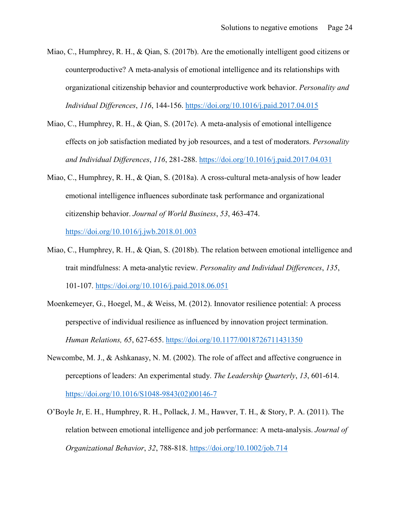- Miao, C., Humphrey, R. H., & Qian, S. (2017b). Are the emotionally intelligent good citizens or counterproductive? A meta-analysis of emotional intelligence and its relationships with organizational citizenship behavior and counterproductive work behavior. *Personality and Individual Differences*, *116*, 144-156.<https://doi.org/10.1016/j.paid.2017.04.015>
- Miao, C., Humphrey, R. H., & Qian, S. (2017c). A meta-analysis of emotional intelligence effects on job satisfaction mediated by job resources, and a test of moderators. *Personality and Individual Differences*, *116*, 281-288.<https://doi.org/10.1016/j.paid.2017.04.031>
- Miao, C., Humphrey, R. H., & Qian, S. (2018a). A cross-cultural meta-analysis of how leader emotional intelligence influences subordinate task performance and organizational citizenship behavior. *Journal of World Business*, *53*, 463-474. <https://doi.org/10.1016/j.jwb.2018.01.003>
- Miao, C., Humphrey, R. H., & Qian, S. (2018b). The relation between emotional intelligence and trait mindfulness: A meta-analytic review. *Personality and Individual Differences*, *135*, 101-107.<https://doi.org/10.1016/j.paid.2018.06.051>
- Moenkemeyer, G., Hoegel, M., & Weiss, M. (2012). Innovator resilience potential: A process perspective of individual resilience as influenced by innovation project termination. *Human Relations, 65*, 627-655.<https://doi.org/10.1177/0018726711431350>
- Newcombe, M. J., & Ashkanasy, N. M. (2002). The role of affect and affective congruence in perceptions of leaders: An experimental study. *The Leadership Quarterly*, *13*, 601-614. [https://doi.org/10.1016/S1048-9843\(02\)00146-7](https://doi.org/10.1016/S1048-9843(02)00146-7)
- O'Boyle Jr, E. H., Humphrey, R. H., Pollack, J. M., Hawver, T. H., & Story, P. A. (2011). The relation between emotional intelligence and job performance: A meta‐analysis. *Journal of Organizational Behavior*, *32*, 788-818.<https://doi.org/10.1002/job.714>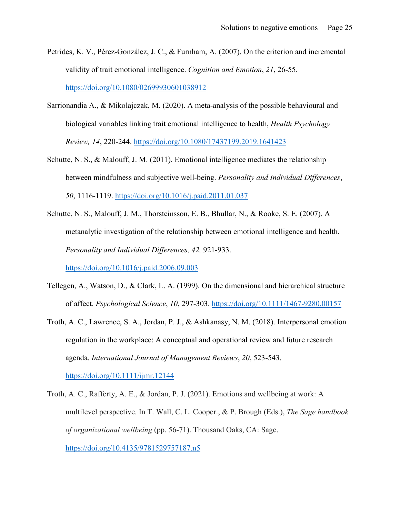- Petrides, K. V., Pérez-González, J. C., & Furnham, A. (2007). On the criterion and incremental validity of trait emotional intelligence. *Cognition and Emotion*, *21*, 26-55. <https://doi.org/10.1080/02699930601038912>
- Sarrionandia A., & Mikolajczak, M. (2020). A meta-analysis of the possible behavioural and biological variables linking trait emotional intelligence to health, *Health Psychology Review, 14*, 220-244.<https://doi.org/10.1080/17437199.2019.1641423>
- Schutte, N. S., & Malouff, J. M. (2011). Emotional intelligence mediates the relationship between mindfulness and subjective well-being. *Personality and Individual Differences*, *50*, 1116-1119.<https://doi.org/10.1016/j.paid.2011.01.037>
- Schutte, N. S., Malouff, J. M., Thorsteinsson, E. B., Bhullar, N., & Rooke, S. E. (2007). A metanalytic investigation of the relationship between emotional intelligence and health. *Personality and Individual Differences, 42,* 921-933.

<https://doi.org/10.1016/j.paid.2006.09.003>

- Tellegen, A., Watson, D., & Clark, L. A. (1999). On the dimensional and hierarchical structure of affect. *Psychological Science*, *10*, 297-303.<https://doi.org/10.1111/1467-9280.00157>
- Troth, A. C., Lawrence, S. A., Jordan, P. J., & Ashkanasy, N. M. (2018). Interpersonal emotion regulation in the workplace: A conceptual and operational review and future research agenda. *International Journal of Management Reviews*, *20*, 523-543. <https://doi.org/10.1111/ijmr.12144>

Troth, A. C., Rafferty, A. E., & Jordan, P. J. (2021). Emotions and wellbeing at work: A multilevel perspective. In T. Wall, C. L. Cooper., & P. Brough (Eds.), *The Sage handbook of organizational wellbeing* (pp. 56-71). Thousand Oaks, CA: Sage. <https://doi.org/10.4135/9781529757187.n5>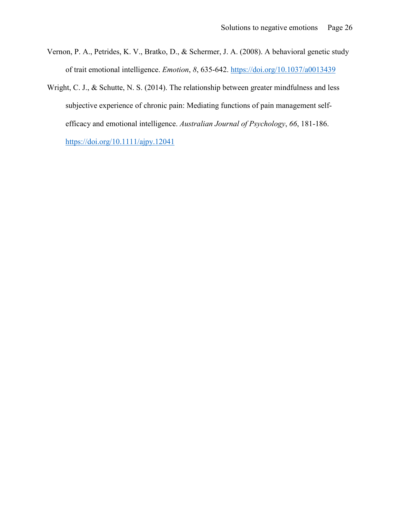- Vernon, P. A., Petrides, K. V., Bratko, D., & Schermer, J. A. (2008). A behavioral genetic study of trait emotional intelligence. *Emotion*, *8*, 635-642.<https://doi.org/10.1037/a0013439>
- Wright, C. J., & Schutte, N. S. (2014). The relationship between greater mindfulness and less subjective experience of chronic pain: Mediating functions of pain management selfefficacy and emotional intelligence. *Australian Journal of Psychology*, *66*, 181-186. <https://doi.org/10.1111/ajpy.12041>